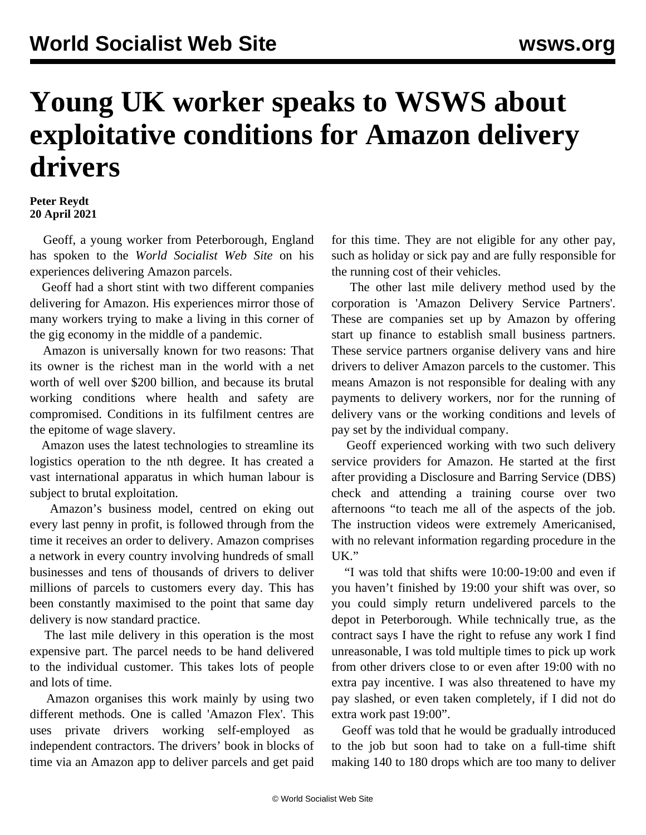## **Young UK worker speaks to WSWS about exploitative conditions for Amazon delivery drivers**

## **Peter Reydt 20 April 2021**

 Geoff, a young worker from Peterborough, England has spoken to the *World Socialist Web Site* on his experiences delivering Amazon parcels.

 Geoff had a short stint with two different companies delivering for Amazon. His experiences mirror those of many workers trying to make a living in this corner of the gig economy in the middle of a pandemic.

 Amazon is universally known for two reasons: That its owner is the richest man in the world with a net worth of well over \$200 billion, and because its brutal working conditions where health and safety are compromised. Conditions in its fulfilment centres are the epitome of wage slavery.

 Amazon uses the latest technologies to streamline its logistics operation to the nth degree. It has created a vast international apparatus in which human labour is subject to brutal exploitation.

 Amazon's business model, centred on eking out every last penny in profit, is followed through from the time it receives an order to delivery. Amazon comprises a network in every country involving hundreds of small businesses and tens of thousands of drivers to deliver millions of parcels to customers every day. This has been constantly maximised to the point that same day delivery is now standard practice.

 The last mile delivery in this operation is the most expensive part. The parcel needs to be hand delivered to the individual customer. This takes lots of people and lots of time.

 Amazon organises this work mainly by using two different methods. One is called 'Amazon Flex'. This uses private drivers working self-employed as independent contractors. The drivers' book in blocks of time via an Amazon app to deliver parcels and get paid

for this time. They are not eligible for any other pay, such as holiday or sick pay and are fully responsible for the running cost of their vehicles.

 The other last mile delivery method used by the corporation is 'Amazon Delivery Service Partners'. These are companies set up by Amazon by offering start up finance to establish small business partners. These service partners organise delivery vans and hire drivers to deliver Amazon parcels to the customer. This means Amazon is not responsible for dealing with any payments to delivery workers, nor for the running of delivery vans or the working conditions and levels of pay set by the individual company.

 Geoff experienced working with two such delivery service providers for Amazon. He started at the first after providing a Disclosure and Barring Service (DBS) check and attending a training course over two afternoons "to teach me all of the aspects of the job. The instruction videos were extremely Americanised, with no relevant information regarding procedure in the UK."

 "I was told that shifts were 10:00-19:00 and even if you haven't finished by 19:00 your shift was over, so you could simply return undelivered parcels to the depot in Peterborough. While technically true, as the contract says I have the right to refuse any work I find unreasonable, I was told multiple times to pick up work from other drivers close to or even after 19:00 with no extra pay incentive. I was also threatened to have my pay slashed, or even taken completely, if I did not do extra work past 19:00".

 Geoff was told that he would be gradually introduced to the job but soon had to take on a full-time shift making 140 to 180 drops which are too many to deliver